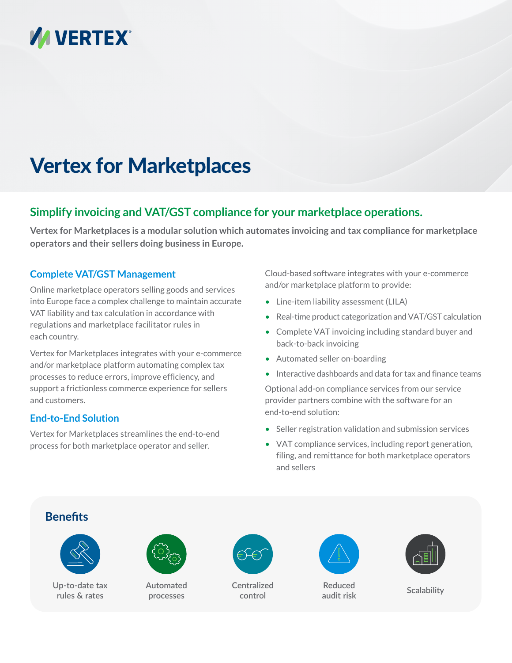

# Vertex for Marketplaces

## **Simplify invoicing and VAT/GST compliance for your marketplace operations.**

**Vertex for Marketplaces is a modular solution which automates invoicing and tax compliance for marketplace operators and their sellers doing business in Europe.**

## **Complete VAT/GST Management**

Online marketplace operators selling goods and services into Europe face a complex challenge to maintain accurate VAT liability and tax calculation in accordance with regulations and marketplace facilitator rules in each country.

Vertex for Marketplaces integrates with your e-commerce and/or marketplace platform automating complex tax processes to reduce errors, improve efficiency, and support a frictionless commerce experience for sellers and customers.

## **End-to-End Solution**

Vertex for Marketplaces streamlines the end-to-end process for both marketplace operator and seller.

Cloud-based software integrates with your e-commerce and/or marketplace platform to provide:

- Line-item liability assessment (LILA)
- Real-time product categorization and VAT/GST calculation
- Complete VAT invoicing including standard buyer and back-to-back invoicing
- Automated seller on-boarding
- Interactive dashboards and data for tax and finance teams

Optional add-on compliance services from our service provider partners combine with the software for an end-to-end solution:

- Seller registration validation and submission services
- VAT compliance services, including report generation, filing, and remittance for both marketplace operators and sellers





**Up-to-date tax rules & rates**



**Automated processes**



**Centralized control**



**Reduced audit risk Scalability**